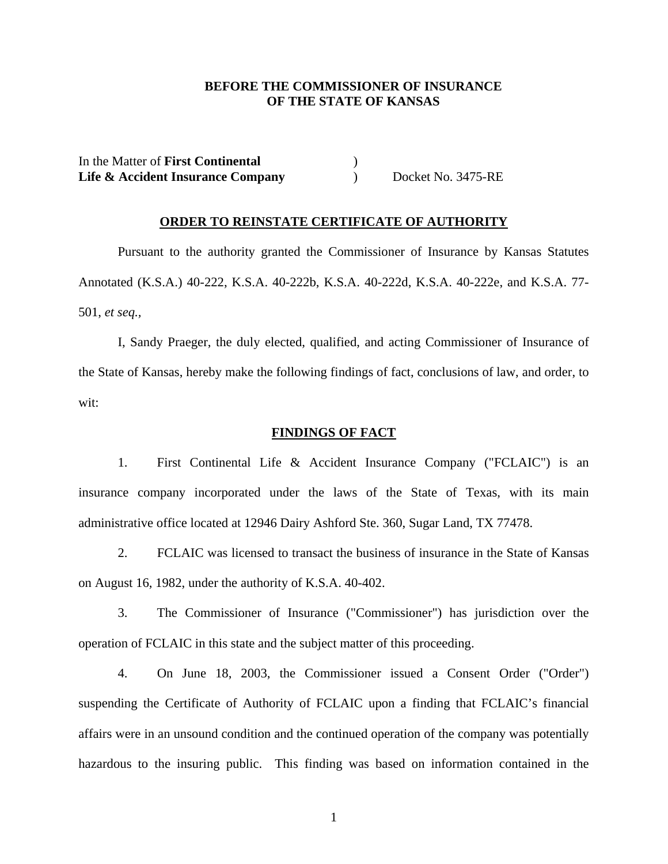## **BEFORE THE COMMISSIONER OF INSURANCE OF THE STATE OF KANSAS**

In the Matter of **First Continental** ) **Life & Accident Insurance Company** (a) Docket No. 3475-RE

### **ORDER TO REINSTATE CERTIFICATE OF AUTHORITY**

Pursuant to the authority granted the Commissioner of Insurance by Kansas Statutes Annotated (K.S.A.) 40-222, K.S.A. 40-222b, K.S.A. 40-222d, K.S.A. 40-222e, and K.S.A. 77- 501, *et seq.,*

 I, Sandy Praeger, the duly elected, qualified, and acting Commissioner of Insurance of the State of Kansas, hereby make the following findings of fact, conclusions of law, and order, to wit:

#### **FINDINGS OF FACT**

 1. First Continental Life & Accident Insurance Company ("FCLAIC") is an insurance company incorporated under the laws of the State of Texas, with its main administrative office located at 12946 Dairy Ashford Ste. 360, Sugar Land, TX 77478.

 2. FCLAIC was licensed to transact the business of insurance in the State of Kansas on August 16, 1982, under the authority of K.S.A. 40-402.

 3. The Commissioner of Insurance ("Commissioner") has jurisdiction over the operation of FCLAIC in this state and the subject matter of this proceeding.

 4. On June 18, 2003, the Commissioner issued a Consent Order ("Order") suspending the Certificate of Authority of FCLAIC upon a finding that FCLAIC's financial affairs were in an unsound condition and the continued operation of the company was potentially hazardous to the insuring public. This finding was based on information contained in the

1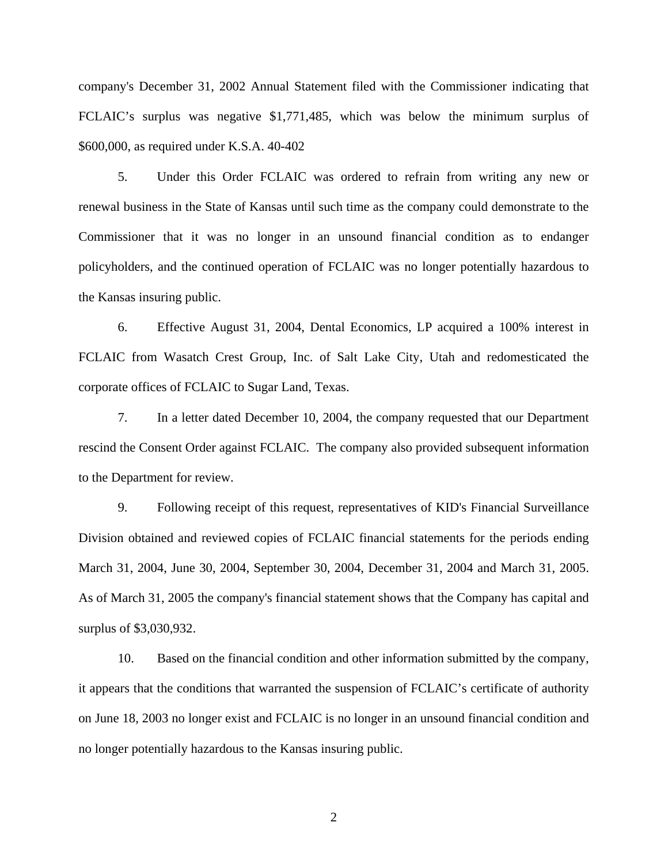company's December 31, 2002 Annual Statement filed with the Commissioner indicating that FCLAIC's surplus was negative \$1,771,485, which was below the minimum surplus of \$600,000, as required under K.S.A. 40-402

 5. Under this Order FCLAIC was ordered to refrain from writing any new or renewal business in the State of Kansas until such time as the company could demonstrate to the Commissioner that it was no longer in an unsound financial condition as to endanger policyholders, and the continued operation of FCLAIC was no longer potentially hazardous to the Kansas insuring public.

 6. Effective August 31, 2004, Dental Economics, LP acquired a 100% interest in FCLAIC from Wasatch Crest Group, Inc. of Salt Lake City, Utah and redomesticated the corporate offices of FCLAIC to Sugar Land, Texas.

 7. In a letter dated December 10, 2004, the company requested that our Department rescind the Consent Order against FCLAIC. The company also provided subsequent information to the Department for review.

 9. Following receipt of this request, representatives of KID's Financial Surveillance Division obtained and reviewed copies of FCLAIC financial statements for the periods ending March 31, 2004, June 30, 2004, September 30, 2004, December 31, 2004 and March 31, 2005. As of March 31, 2005 the company's financial statement shows that the Company has capital and surplus of \$3,030,932.

 10. Based on the financial condition and other information submitted by the company, it appears that the conditions that warranted the suspension of FCLAIC's certificate of authority on June 18, 2003 no longer exist and FCLAIC is no longer in an unsound financial condition and no longer potentially hazardous to the Kansas insuring public.

2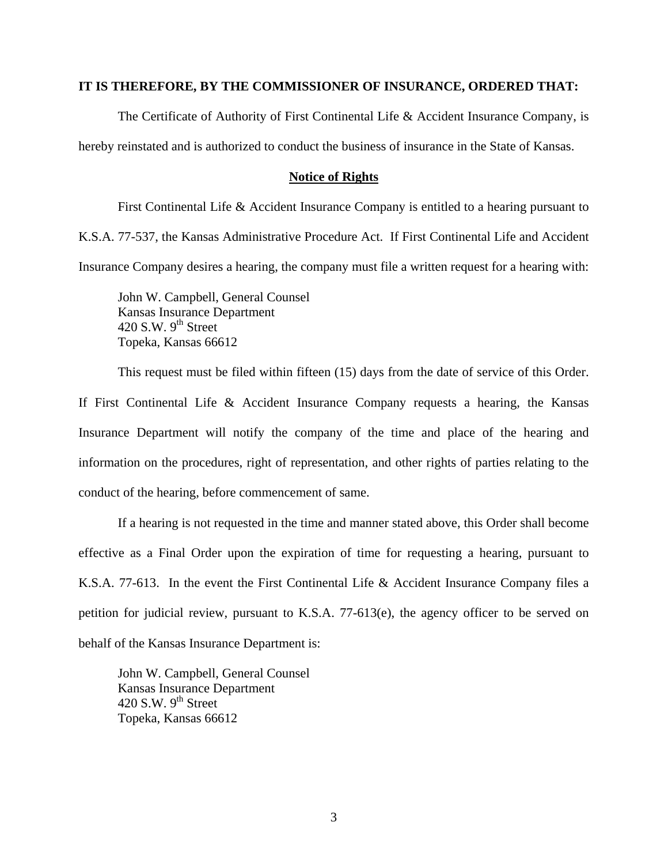## **IT IS THEREFORE, BY THE COMMISSIONER OF INSURANCE, ORDERED THAT:**

The Certificate of Authority of First Continental Life & Accident Insurance Company, is hereby reinstated and is authorized to conduct the business of insurance in the State of Kansas.

#### **Notice of Rights**

 First Continental Life & Accident Insurance Company is entitled to a hearing pursuant to K.S.A. 77-537, the Kansas Administrative Procedure Act. If First Continental Life and Accident Insurance Company desires a hearing, the company must file a written request for a hearing with:

John W. Campbell, General Counsel Kansas Insurance Department 420 S.W.  $9<sup>th</sup>$  Street Topeka, Kansas 66612

This request must be filed within fifteen (15) days from the date of service of this Order.

If First Continental Life & Accident Insurance Company requests a hearing, the Kansas Insurance Department will notify the company of the time and place of the hearing and information on the procedures, right of representation, and other rights of parties relating to the conduct of the hearing, before commencement of same.

 If a hearing is not requested in the time and manner stated above, this Order shall become effective as a Final Order upon the expiration of time for requesting a hearing, pursuant to K.S.A. 77-613. In the event the First Continental Life & Accident Insurance Company files a petition for judicial review, pursuant to K.S.A.  $77-613(e)$ , the agency officer to be served on behalf of the Kansas Insurance Department is:

John W. Campbell, General Counsel Kansas Insurance Department 420 S.W.  $9<sup>th</sup>$  Street Topeka, Kansas 66612